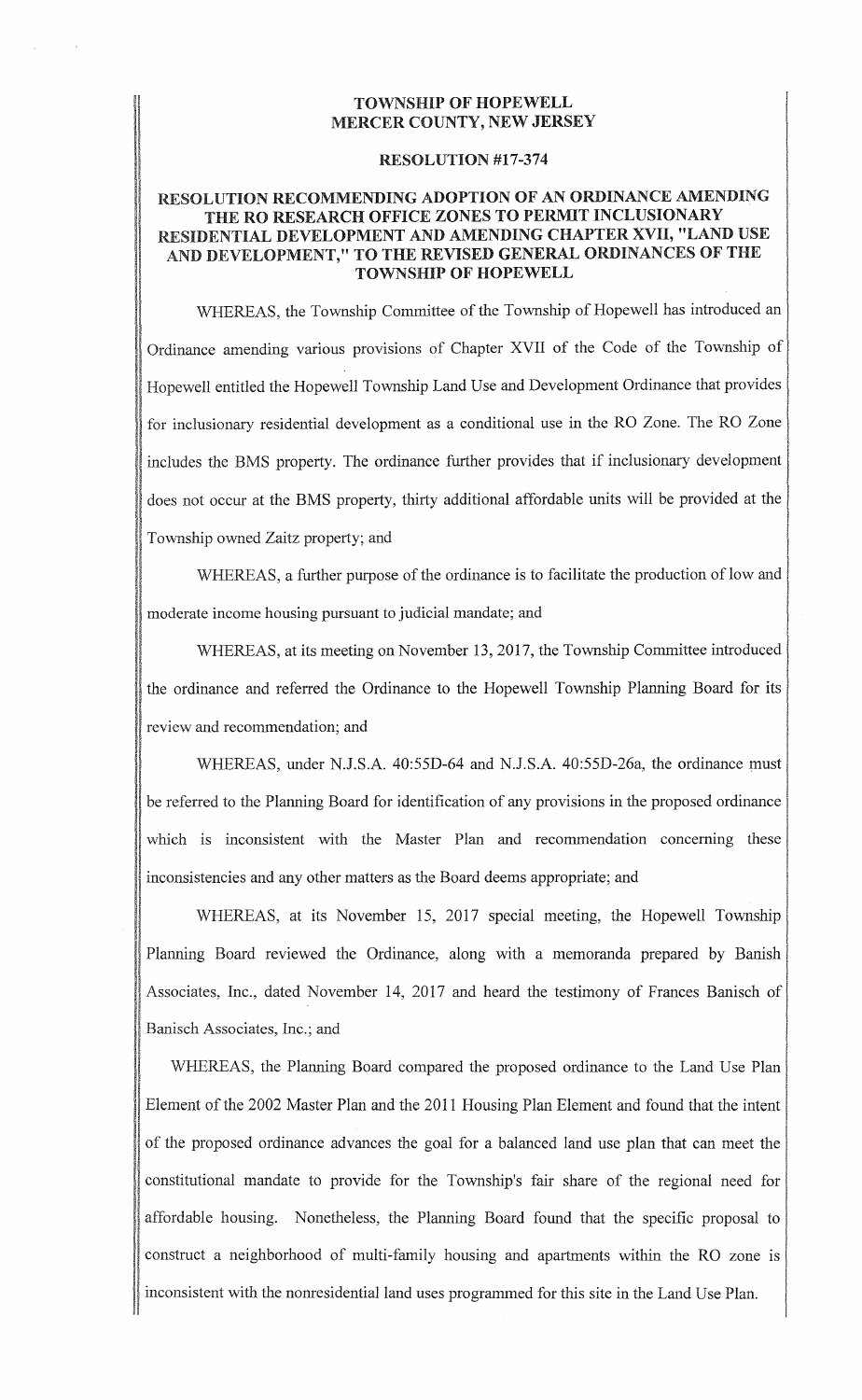#### TOWNSHIP OF HOPEWELL MERCER COUNTY, NEW JERSEY

#### RESOLUTION #17-374

## RESOLUTION RECOMMENDING ADOPTION OF AN ORDINANCE AMENDING THE RO RESEARCH OFFICE ZONES TO PERMIT INCLUSIONARY RESIDENTIAL DEVELOPMENT AND AMENDING CHAPTER XVII, "LAND USE AND DEVELOPMENT," TO THE REVISED GENERAL ORDINANCES OF THE TOWNSHIP OF HOPEWELL

WHEREAS, the Township Committee of the Township of Hopewell has introduced an Ordinance amending various provisions of Chapter XVII of the Code of the Township of l .<br>.<br>.<br>.<br>. Hopewell entitled the Hopewell Township Land Use and Development Ordinance that provides for inclusionary residential development as a conditional use in the RO Zone. The RO Zone includes the BMS property. The ordinance further provides that if inclusionary development does not occur at the BMS property, thirty additional affordable units will be provided at the *<i><u>Pressure</u>* Township owned Zaitz property; and I

WHEREAS, a further purpose of the ordinance is to facilitate the production of low and moderate income housing pursuant to judicial mandate; and

**licensing** 

WHEREAS, at its meeting on November 13, 2017, the Township Committee introduced the ordinance and referred the Ordinance to the Hopewell Township Planning Board for its review and recommendation; and

WHEREAS, under N.J.S.A. 40:55D-64 and N.J.S.A. 40:55D-26a, the ordinance must be referred to the Planning Board for identification of any provisions in the proposed ordinance which is inconsistent with the Master Plan and recommendation concerning these inconsistencies and any other matters as the Board deems appropriate; and

WHEREAS, at its November 15, 2017 special meeting, the Hopewell Township Planning Board reviewed the Ordinance, along with a memoranda prepared by Banish Associates, Inc., dated November 14, 2017 and heard the testimony of Frances Banisch of Banisch Associates, Inc.; and

**ITALIANO** 

WHEREAS, the Planning Board compared the proposed ordinance to the Land Use Plan Element of the 2002 Master Plan and the 2011 Housing Plan Element and found that the intent of the proposed ordinance advances the goal for a balanced land use plan that can meet the constitutional mandate to provide for the Township's fair share of the regional need for affordable housing. Nonetheless, the Planning Board found that the specific proposal to construct a neighborhood of multi-family housing and apartments within the RO zone is inconsistent with the nonresidential land uses programmed for this site in the Land Use Plan.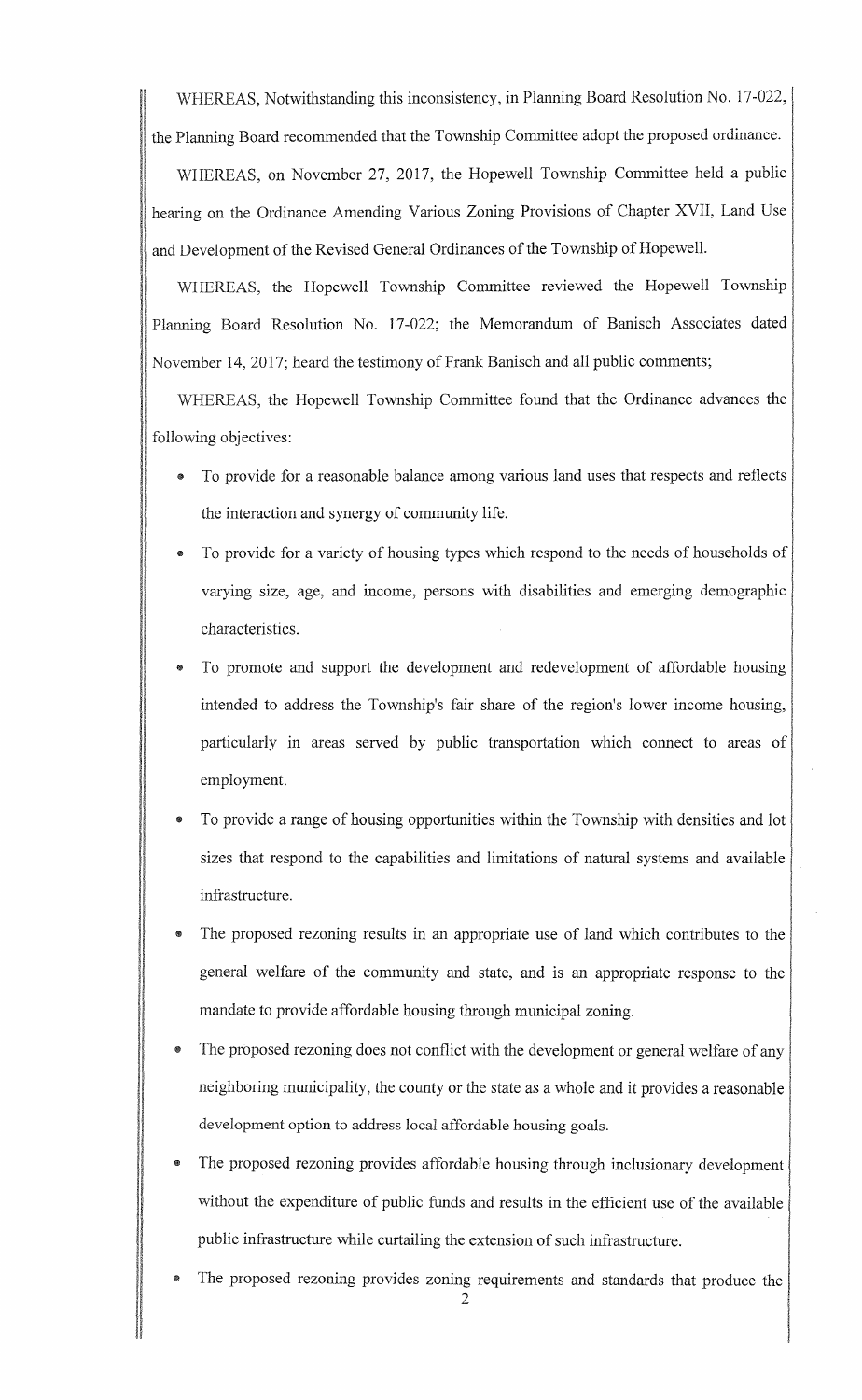WHEREAS, Notwithstanding this inconsistency, in Planning Board Resolution No. 17-022, the Planning Board recommended that the Township Committee adopt the proposed ordinance.

WHEREAS, on November 27, 2017, the Hopewell Township Committee held a public hearing on the Ordinance Amending Various Zoning Provisions of Chapter XVII, Land Use and Development of the Revised General Ordinances of the Township of Hopewell.

WHEREAS, the Hopewell Township Committee reviewed the Hopewell Township Planning Board Resolution No. 17-022; the Memorandum of Banisch Associates dated November 14, 2017; heard the testimony of Frank Banisch and all public comments;

WHEREAS, the Hopewell Township Committee found that the Ordinance advances the following objectives:

- To provide for a reasonable balance among various land uses that respects and reflects the interaction and synergy of community life.
- To provide for a variety of housing types which respond to the needs of households of i<br>International varymg size, age, and income, persons with disabilities and emerging demographic characteristics.
- To promote and support the development and redevelopment of affordable housing intended to address the Township's fair share of the region's lower income housing, particularly in areas served by public transportation which connect to areas of employment.
- To provide a range of housing opportunities within the Township with densities and lot sizes that respond to the capabilities and limitations of natural systems and available infrastructure.
- The proposed rezoning results in an appropriate use of land which contributes to the I general welfare of the community and state, and is an appropriate response to the mandate to provide affordable housing through municipal zoning.
- The proposed rezoning does not conflict with the development or general welfare of any I<br>I<br>I<br>I<br>I<br>I<br>I<br>I neighboring municipality, the county or the state as a whole and it provides a reasonable development option to address local affordable housing goals.
- i<br>International<br>International The proposed rezoning provides affordable housing through inclusionary development without the expenditure of public funds and results in the efficient use of the available public infrastructure while curtailing the extension of such infrastructure.
- The proposed rezoning provides zoning requirements and standards that produce the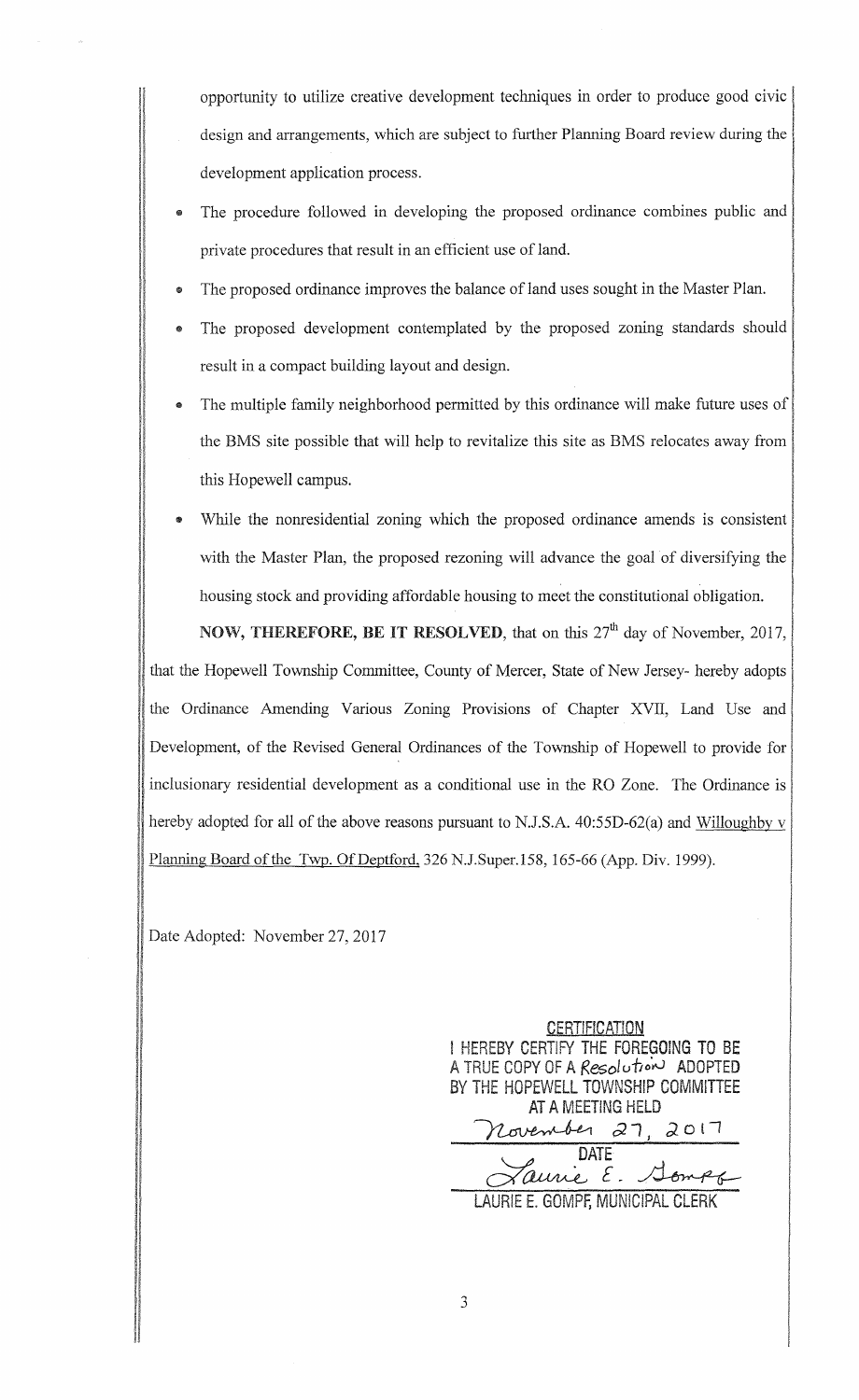opportunity to utilize creative development techniques in order to produce good civic design and arrangements, which are subject to further Planning Board review during the development application process.

- The procedure followed in developing the proposed ordinance combines public and private procedures that result in an efficient use of land.
- The proposed ordinance improves the balance of land uses sought in the Master Plan.
- The proposed development contemplated by the proposed zoning standards should result in a compact building layout and design.
- The multiple family neighborhood permitted by this ordinance will make future uses of the BMS site possible that will help to revitalize this site as BMS relocates away from this Hopewell campus.
- While the nonresidential zoning which the proposed ordinance amends is consistent with the Master Plan, the proposed rezoning will advance the goal of diversifying the housing stock and providing affordable housing to meet the constitutional obligation.

NOW, THEREFORE, BE IT RESOLVED, that on this  $27<sup>th</sup>$  day of November, 2017, that the Hopewell Township Committee, County of Mercer, State of New Jersey- hereby adopts the Ordinance Amending Various Zoning Provisions of Chapter XVII, Land Use and Development, of the Revised General Ordinances of the Township of Hopewell to provide for inclusionary residential development as a conditional use in the RO Zone. The Ordinance is hereby adopted for all of the above reasons pursuant to N.J.S.A. 40:55D-62(a) and Willoughby v Planning Board of the Twp. Of Deptford, 326 N.J.Super.158, 165-66 (App. Div. 1999).

Date Adopted: November 27, 2017

## **CERTIFICATION** I HEREBY CERTIFY THE FOREGOING TO BE A TRUE COPY OF A Resolufi *<sup>0</sup>'.,.J* ADOPTED BY THE HOPEWELL TOWNSHIP COMMITTEE EREBY CERTIFY THE FOREGOING TO<br>RUE COPY OF A Resolution ADOP<br>THE HOPEWELL TOWNSHIP COMMI<br>AT A MEETING HELD<br>Movember 27, 201 AT A MEETING HELD  $27, 2017$ DATE aurie E. S LAURIE E. GOMPF, MUNICIPAL CLERK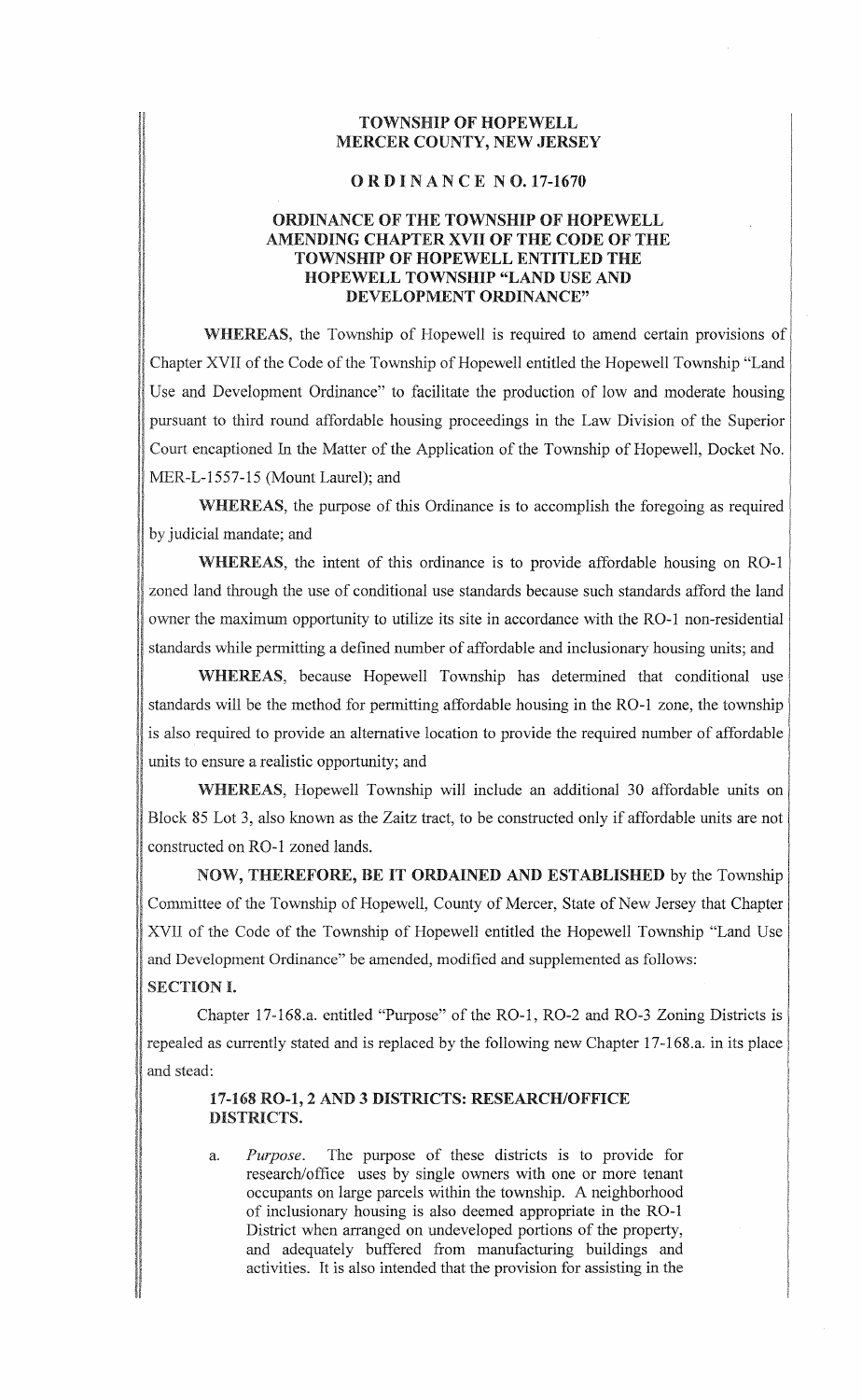## TOWNSHIP OF HOPEWELL MERCER COUNTY, NEW JERSEY

I

I In the community of the community of the community of the community of the community of the community of the c<br>In the community of the community of the community of the community of the community of the community of the c **BRANCHANDER** I I

I I

I

### ORDINANCE N0.17-1670

## ORDINANCE OF THE TOWNSHIP OF HOPEWELL AMENDING CHAPTER XVII OF THE CODE OF THE TOWNSHIP OF HOPEWELL ENTITLED THE HOPEWELL TOWNSHIP "LAND USE AND DEVELOPMENT ORDINANCE"

WHEREAS, the Township of Hopewell is required to amend certain provisions of Chapter XVII of the Code of the Township of Hopewell entitled the Hopewell Township "Land Use and Development Ordinance" to facilitate the production of low and moderate housing pursuant to third round affordable housing proceedings in the Law Division of the Superior Court encaptioned In the Matter of the Application of the Township of Hopewell, Docket No. MER-L-1557-15 (Mount Laurel); and

WHEREAS, the purpose of this Ordinance is to accomplish the foregoing as required by judicial mandate; and

WHEREAS, the intent of this ordinance is to provide affordable housing on RO-1 zoned land through the use of conditional use standards because such standards afford the land owner the maximum opportunity to utilize its site in accordance with the RO-1 non-residential standards while permitting a defined number of affordable and inclusionary housing units; and

WHEREAS, because Hopewell Township has determined that conditional use standards will be the method for permitting affordable housing in the R0-1 zone, the township is also required to provide an alternative location to provide the required number of affordable units to ensure a realistic opportunity; and<br> **WHEREAS**, Hopewell Township will include an additional 30 affordable units on

Block 85 Lot 3, also known as the Zaitz tract, to be constructed only if affordable units are not constructed on RO-1 zoned lands.

NOW, THEREFORE, BE IT ORDAINED AND ESTABLISHED by the Township Committee of the Township of Hopewell, County of Mercer, State of New Jersey that Chapter XVII of the Code of the Township of Hopewell entitled the Hopewell Township "Land Use and Development Ordinance" be amended, modified and supplemented as follows: SECTION I.

Chapter 17-168.a. entitled "Purpose" of the R0-1, R0-2 and R0-3 Zoning Districts is repealed as currently stated and is replaced by the following new Chapter 17-168.a. in its place and stead:

## 17-168 R0-1, 2 AND 3 DISTRICTS: RESEARCH/OFFICE DISTRICTS.

a. *Purpose.* The purpose of these districts is to provide for research/office uses by single owners with one or more tenant occupants on large parcels within the township. A neighborhood of inclusionary housing is also deemed appropriate in the R0-1 District when arranged on undeveloped portions of the property, and adequately buffered from manufacturing buildings and activities. It is also intended that the provision for assisting in the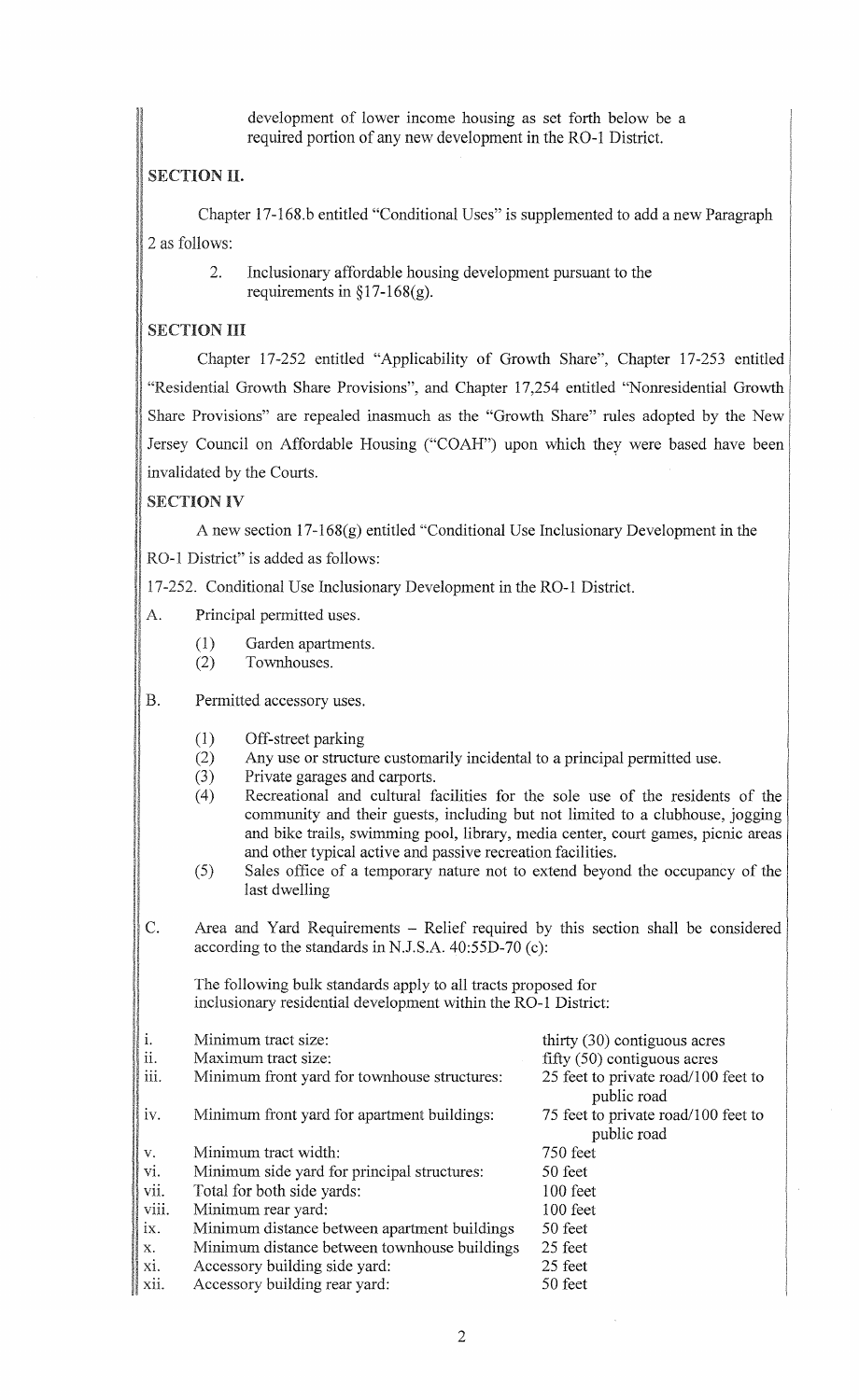development of lower income housing as set forth below be a required portion of any new development in the R0-1 District.

## SECTION II.

Chapter 17-168.b entitled "Conditional Uses" is supplemented to add a new Paragraph 2 as follows:

2. Inclusionary affordable housing development pursuant to the requirements in  $\S 17-168(g)$ .

### **SECTION III**

Chapter 17-252 entitled "Applicability of Growth Share", Chapter 17-253 entitled "Residential Growth Share Provisions", and Chapter 17,254 entitled "Nonresidential Growth Share Provisions" are repealed inasmuch as the "Growth Share" rules adopted by the New Jersey Council on Affordable Housing ("COAH") upon which they were based have been invalidated by the Courts.

## SECTION IV

A new section 17-168(g) entitled "Conditional Use Inclusionary Development in the R0-1 District" is added as follows:

17-252. Conditional Use Inclusionary Development in the RO-I District.

- A. Principal permitted uses.
	- (1) Garden apartments.
	- (2) Townhouses.
- B. Permitted accessory uses.
	- (1) Off-street parking
	- (2) Any use or structure customarily incidental to a principal permitted use.
	- (3) Private garages and carports.
	- ( 4) Recreational and cultural facilities for the sole use of the residents of the community and their guests, including but not limited to a clubhouse, jogging and bike trails, swimming pool, library, media center, court games, picnic areas and other typical active and passive recreation facilities.
	- (5) Sales office of a temporary nature not to extend beyond the occupancy of the last dwelling
- C. Area and Yard Requirements Relief required by this section shall be considered according to the standards in N.J.S.A. 40:55D-70 (c):

The following bulk standards apply to all tracts proposed for inclusionary residential development within the R0-1 District:

| i.    | Minimum tract size:                          | thirty $(30)$ contiguous acres                     |
|-------|----------------------------------------------|----------------------------------------------------|
| ii.   | Maximum tract size:                          | fifty $(50)$ contiguous acres                      |
| iii.  | Minimum front yard for townhouse structures: | 25 feet to private road/100 feet to<br>public road |
| iv.   | Minimum front yard for apartment buildings:  | 75 feet to private road/100 feet to<br>public road |
| V.    | Minimum tract width:                         | 750 feet                                           |
| vi.   | Minimum side yard for principal structures:  | 50 feet                                            |
| vii.  | Total for both side yards:                   | 100 feet                                           |
| viii. | Minimum rear yard:                           | 100 feet                                           |
| 1X.   | Minimum distance between apartment buildings | 50 feet                                            |
| X.    | Minimum distance between townhouse buildings | 25 feet                                            |
| xi.   | Accessory building side yard:                | 25 feet                                            |
| xii.  | Accessory building rear yard:                | 50 feet                                            |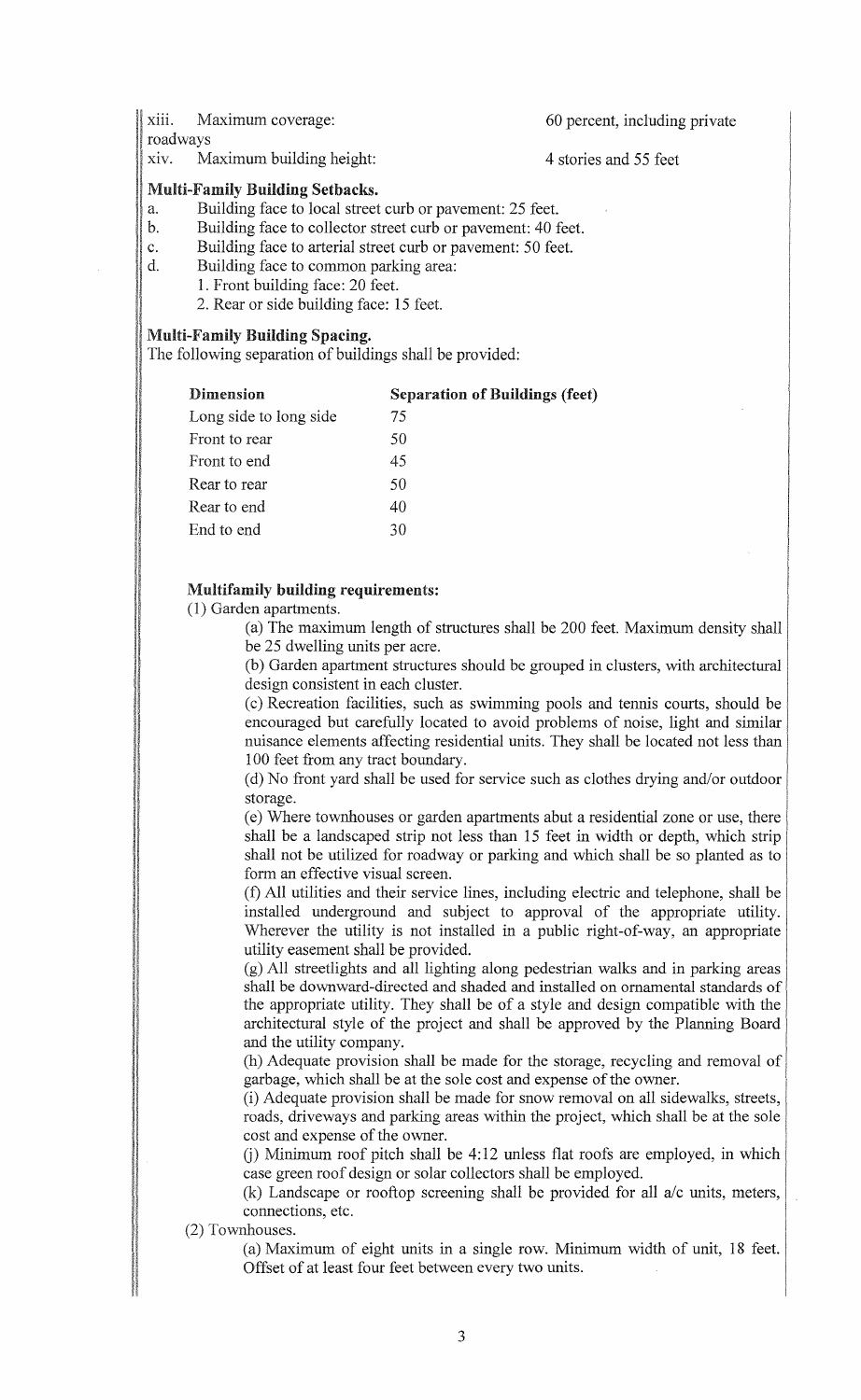roadways

xiv. Maximum building height: 4 stories and 55 feet

## Multi-Family Building Setbacks.

- a. Building face to local street curb or pavement: 25 feet.
- b. Building face to collector street curb or pavement: 40 feet.
- c. Building face to arterial street curb or pavement: 50 feet.
- d. Building face to common parking area:
	- 1. Front building face: 20 feet.
		- 2. Rear or side building face: 15 feet.

## **Multi-Family Building Spacing.**

The following separation of buildings shall be provided:

| <b>Dimension</b>       | <b>Separation of Buildings (feet)</b> |
|------------------------|---------------------------------------|
| Long side to long side | 75                                    |
| Front to rear          | 50                                    |
| Front to end           | 45                                    |
| Rear to rear           | 50                                    |
| Rear to end            | 40                                    |
| End to end             | 30                                    |
|                        |                                       |

## Multifamily building requirements:

(1) Garden apartments.

(a) The maximum length of structures shall be 200 feet. Maximum density shall be 25 dwelling units per acre.

(b) Garden apartment structures should be grouped in clusters, with architectural design consistent in each cluster.

( c) Recreation facilities, such as swimming pools and tennis courts, should be encouraged but carefully located to avoid problems of noise, light and similar nuisance elements affecting residential units. They shall be located not less than l 00 feet from any tract boundary.

( d) No front yard shall be used for service such as clothes drying and/or outdoor storage.

( e) Where townhouses or garden apartments abut a residential zone or use, there shall be a landscaped strip not less than 15 feet in width or depth, which strip shall not be utilized for roadway or parking and which shall be so planted as to form an effective visual screen.

(f) All utilities and their service lines, including electric and telephone, shall be installed underground and subject to approval of the appropriate utility. Wherever the utility is not installed in a public right-of-way, an appropriate utility easement shall be provided.

(g) All streetlights and all lighting along pedestrian walks and in parking areas shall be downward-directed and shaded and installed on ornamental standards of the appropriate utility. They shall be of a style and design compatible with the architectural style of the project and shall be approved by the Planning Board and the utility company.

(h) Adequate provision shall be made for the storage, recycling and removal of garbage, which shall be at the sole cost and expense of the owner.

(i) Adequate provision shall be made for snow removal on all sidewalks, streets, roads, driveways and parking areas within the project, which shall be at the sole cost and expense of the owner.

G) Minimum roof pitch shall be 4:12 unless flat roofs are employed, in which case green roof design or solar collectors shall be employed.

(k) Landscape or rooftop screening shall be provided for all *ale* units, meters, connections, etc.

(2) Townhouses.

(a) Maximum of eight units in a single row. Minimum width of unit, 18 feet. Offset of at least four feet between every two units.

xiii. Maximum coverage: 60 percent, including private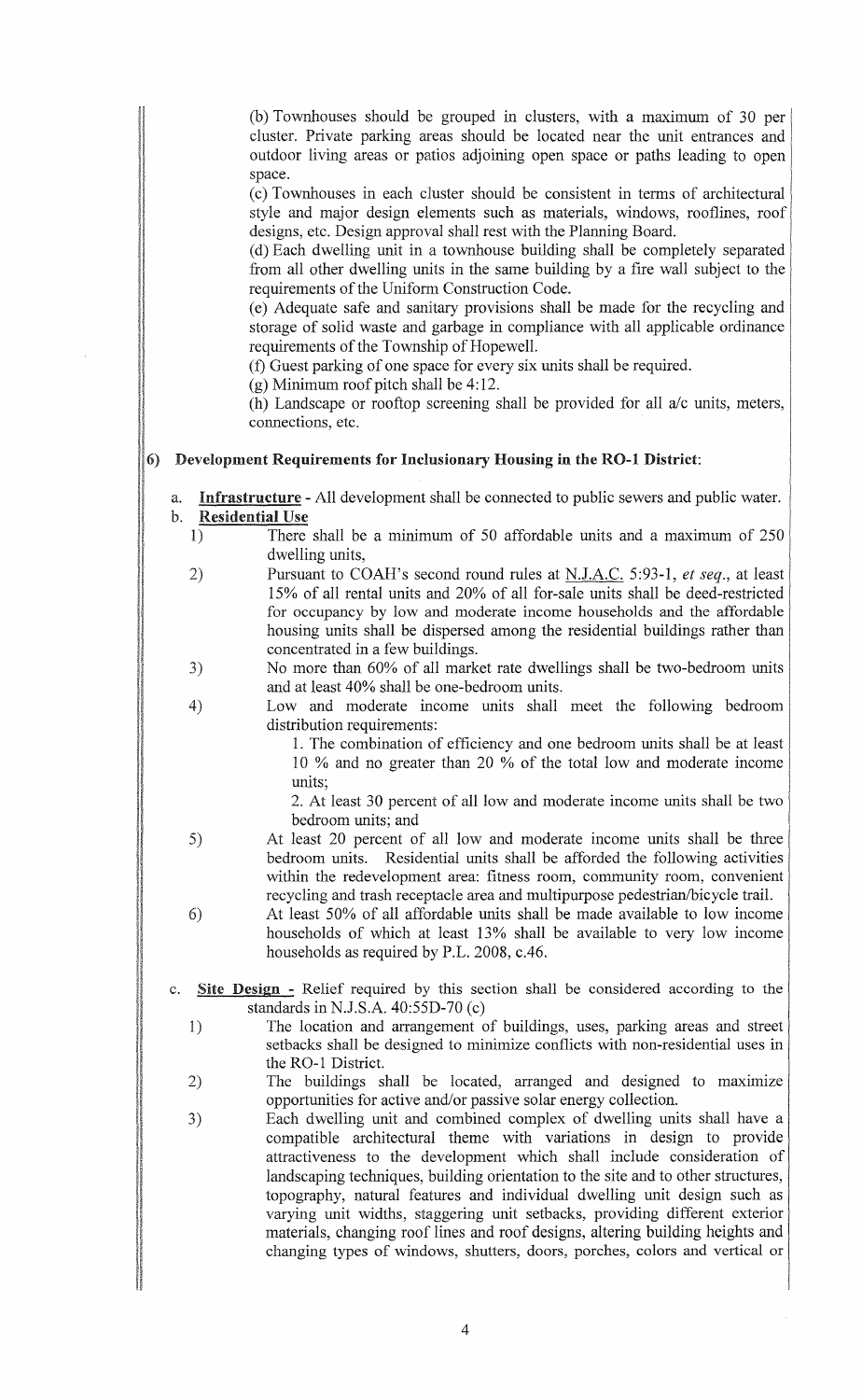(b) Townhouses should be grouped in clusters, with a maximum of 30 per cluster. Private parking areas should be located near the unit entrances and outdoor living areas or patios adjoining open space or paths leading to open space.

(c) Townhouses in each cluster should be consistent in terms of architectural style and major design elements such as materials, windows, rooflines, roof designs, etc. Design approval shall rest with the Planning Board.

( d) Each dwelling unit in a townhouse building shall be completely separated from all other dwelling units in the same building by a fire wall subject to the requirements of the Uniform Construction Code.

( e) Adequate safe and sanitary provisions shall be made for the recycling and storage of solid waste and garbage in compliance with all applicable ordinance requirements of the Township of Hopewell.

(f) Guest parking of one space for every six units shall be required.

(g) Minimum roof pitch shall be 4:12.

(h) Landscape or rooftop screening shall be provided for all  $a/c$  units, meters, connections, etc.

#### 6) Development Requirements for Inclusionary Housing in the R0-1 District:

a. Infrastructure - All development shall be connected to public sewers and public water. b. Residential Use

- 1) There shall be a minimum of 50 affordable units and a maximum of 250 dwelling units,
- 2) Pursuant to COAH's second round rules at N.J.A.C. 5:93-1, *et seq.,* at least 15% of all rental units and 20% of all for-sale units shall be deed-restricted for occupancy by low and moderate income households and the affordable housing units shall be dispersed among the residential buildings rather than concentrated in a few buildings.
- 3) No more than 60% of all market rate dwellings shall be two-bedroom units and at least 40% shall be one-bedroom units.
- 4) Low and moderate income units shall meet the following bedroom distribution requirements:

1. The combination of efficiency and one bedroom units shall be at least 10 % and no greater than 20 % of the total low and moderate income units;

2. At least 30 percent of all low and moderate income units shall be two bedroom units; and

- 5) At least 20 percent of all low and moderate income units shall be three bedroom units. Residential units shall be afforded the following activities within the redevelopment area: fitness room, community room, convenient recycling and trash receptacle area and multipurpose pedestrian/bicycle trail.
- 6) At least 50% of all affordable units shall be made available to low income households of which at least 13% shall be available to very low income households as required by P.L. 2008, c.46.
- c. Site Design Relief required by this section shall be considered according to the standards in N.J.S.A. 40:55D-70 (c)
	- 1) The location and arrangement of buildings, uses, parking areas and street setbacks shall be designed to minimize conflicts with non-residential uses in the R0-1 District.
	- 2) The buildings shall be located, arranged and designed to maximize opportunities for active and/or passive solar energy collection.
	- 3) Each dwelling unit and combined complex of dwelling units shall have a compatible architectural theme with variations in design to provide attractiveness to the development which shall include consideration of landscaping techniques, building orientation to the site and to other structures, topography, natural features and individual dwelling unit design such as varying unit widths, staggering unit setbacks, providing different exterior materials, changing roof lines and roof designs, altering building heights and changing types of windows, shutters, doors, porches, colors and vertical or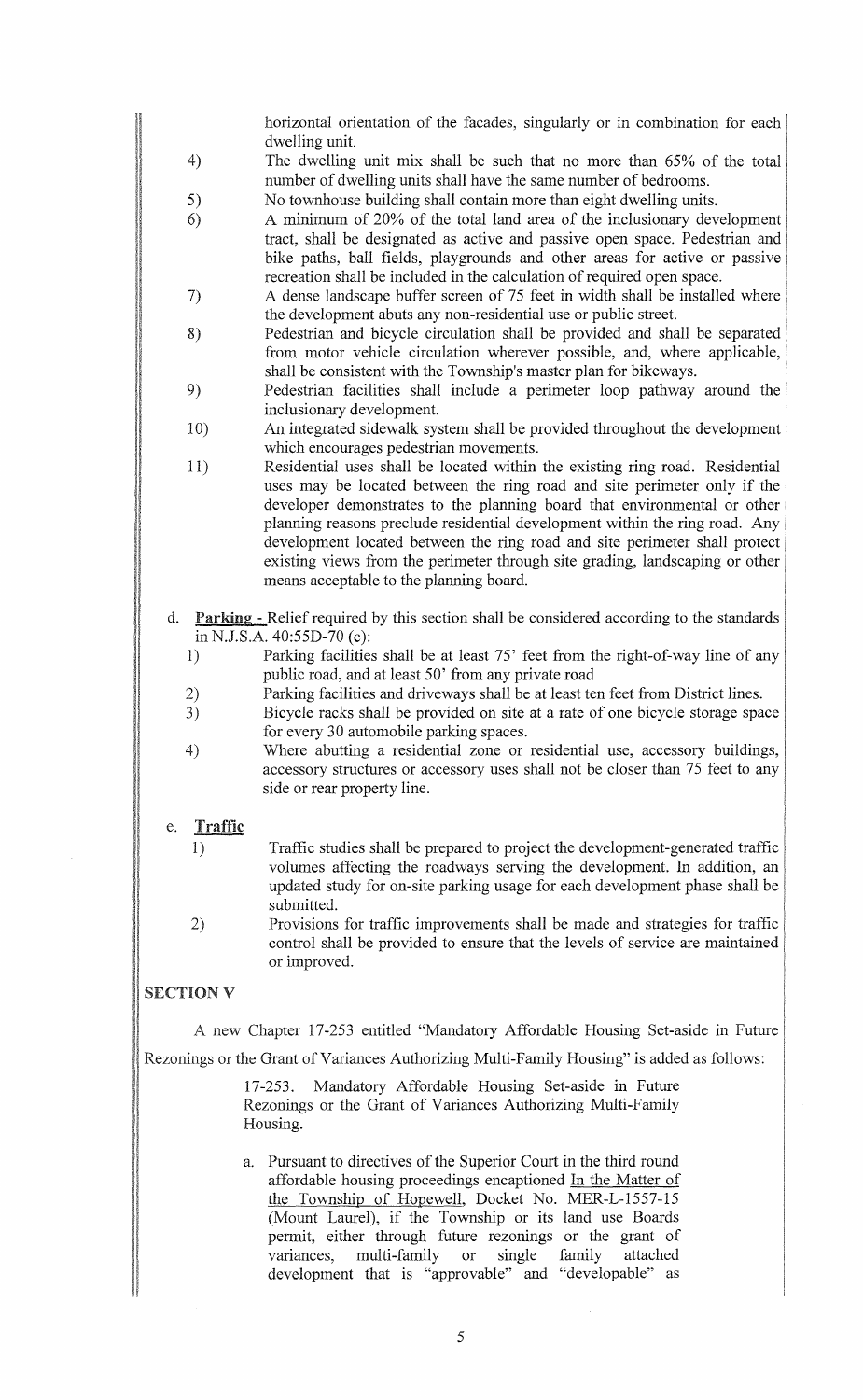horizontal orientation of the facades, singularly or in combination for each dwelling unit.

- 4) The dwelling unit mix shall be such that no more than 65% of the total number of dwelling units shall have the same number of bedrooms.
- 5) No townhouse building shall contain more than eight dwelling units.
- 6) A minimum of 20% of the total land area of the inclusionary development tract, shall be designated as active and passive open space. Pedestrian and bike paths, ball fields, playgrounds and other areas for active or passive recreation shall be included in the calculation of required open space.
- 7) A dense landscape buffer screen of 75 feet in width shall be installed where the development abuts any non-residential use or public street.
- 8) Pedestrian and bicycle circulation shall be provided and shall be separated from motor vehicle circulation wherever possible, and, where applicable, shall be consistent with the Township's master plan for bikeways.
- 9) Pedestrian facilities shall include a perimeter loop pathway around the inclusionary development.
- 10) An integrated sidewalk system shall be provided throughout the development which encourages pedestrian movements.
- 11) Residential uses shall be located within the existing ring road. Residential uses may be located between the ring road and site perimeter only if the developer demonstrates to the planning board that environmental or other planning reasons preclude residential development within the ring road. Any development located between the ring road and site perimeter shall protect existing views from the perimeter through site grading, landscaping or other means acceptable to the planning board.
- d. Parking Relief required by this section shall be considered according to the standards in N.J.S.A. 40:55D-70 (c):
	- 1) Parking facilities shall be at least 75' feet from the right-of-way line of any public road, and at least 50' from any private road
	- 2) Parking facilities and driveways shall be at least ten feet from District lines.
	- 3) Bicycle racks shall be provided on site at a rate of one bicycle storage space for every 30 automobile parking spaces.
	- 4) Where abutting a residential zone or residential use, accessory buildings, accessory structures or accessory uses shall not be closer than 75 feet to any side or rear property line.

#### e. Traffic

- 1) Traffic studies shall be prepared to project the development-generated traffic volumes affecting the roadways serving the development. In addition, an updated study for on-site parking usage for each development phase shall be submitted.
- 2) Provisions for traffic improvements shall be made and strategies for traffic control shall be provided to ensure that the levels of service are maintained or improved.

## **SECTION V**

A new Chapter 17-253 entitled "Mandatory Affordable Housing Set-aside in Future

Rezonings or the Grant of Variances Authorizing Multi-Family Housing" is added as follows:

17-253. Mandatory Affordable Housing Set-aside in Future Rezonings or the Grant of Variances Authorizing Multi-Family Housing.

a. Pursuant to directives of the Superior Court in the third round affordable housing proceedings encaptioned In the Matter of the Township of Hopewell, Docket No. MER-L-1557-15 (Mount Laurel), if the Township or its land use Boards permit, either through future rezonings or the grant of variances, multi-family or single family attached development that is "approvable" and "developable" as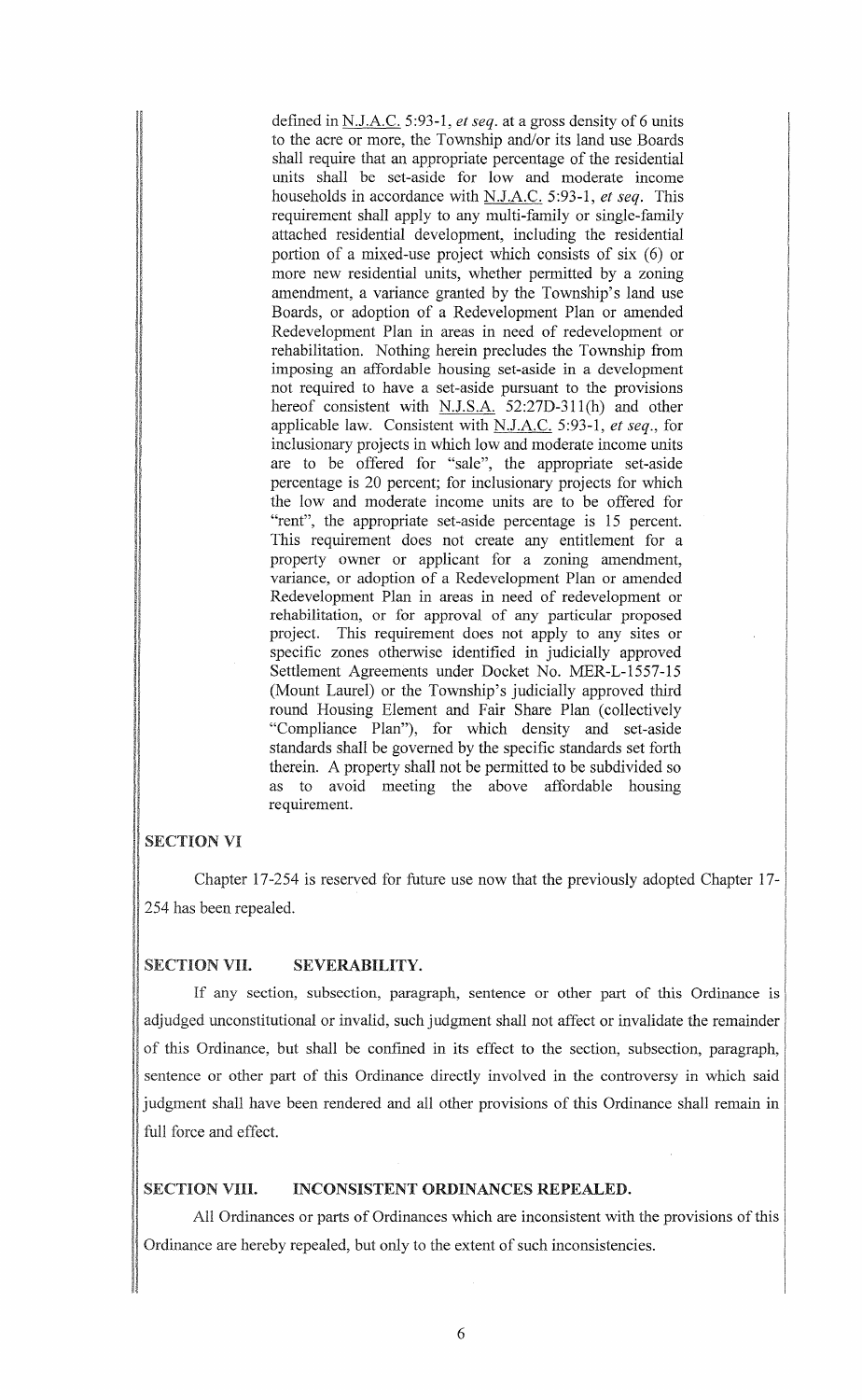defined in N.J.A.C. 5:93-1, *et seq.* at a gross density of 6 units to the acre or more, the Township and/or its land use Boards shall require that an appropriate percentage of the residential units shall be set-aside for low and moderate income households in accordance with N.J.A.C. 5:93-1, *et seq.* This requirement shall apply to any multi-family or single-family attached residential development, including the residential portion of a mixed-use project which consists of six (6) or more new residential units, whether permitted by a zoning amendment, a variance granted by the Township's land use Boards, or adoption of a Redevelopment Plan or amended Redevelopment Plan in areas in need of redevelopment or rehabilitation. Nothing herein precludes the Township from imposing an affordable housing set-aside in a development not required to have a set-aside pursuant to the provisions hereof consistent with N.J.S.A. 52:27D-311(h) and other applicable law. Consistent with N.J.A.C. 5:93-1, *et seq.,* for inclusionary projects in which low and moderate income units are to be offered for "sale", the appropriate set-aside percentage is 20 percent; for inclusionary projects for which the low and moderate income units are to be offered for "rent", the appropriate set-aside percentage is 15 percent. This requirement does not create any entitlement for a property owner or applicant for a zoning amendment, variance, or adoption of a Redevelopment Plan or amended Redevelopment Plan in areas in need of redevelopment or rehabilitation, or for approval of any particular proposed project. This requirement does not apply to any sites or specific zones otherwise identified in judicially approved Settlement Agreements under Docket No. MER-L-1557-15 (Mount Laurel) or the Township's judicially approved third round Housing Element and Fair Share Plan (collectively "Compliance Plan"), for which density and set-aside standards shall be governed by the specific standards set forth therein. A property shall not be permitted to be subdivided so as to avoid meeting the above affordable housing requirement.

## SECTION VI

Chapter 17-254 is reserved for future use now that the previously adopted Chapter 17- 254 has been repealed.

## SECTION VII. SEVERABILITY.

If any section, subsection, paragraph, sentence or other part of this Ordinance is adjudged unconstitutional or invalid, such judgment shall not affect or invalidate the remainder of this Ordinance, but shall be confined in its effect to the section, subsection, paragraph, sentence or other part of this Ordinance directly involved in the controversy in which said judgment shall have been rendered and all other provisions of this Ordinance shall remain in full force and effect.

# SECTION VIII. INCONSISTENT ORDINANCES REPEALED.

All Ordinances or parts of Ordinances which are inconsistent with the provisions of this Ordinance are hereby repealed, but only to the extent of such inconsistencies.